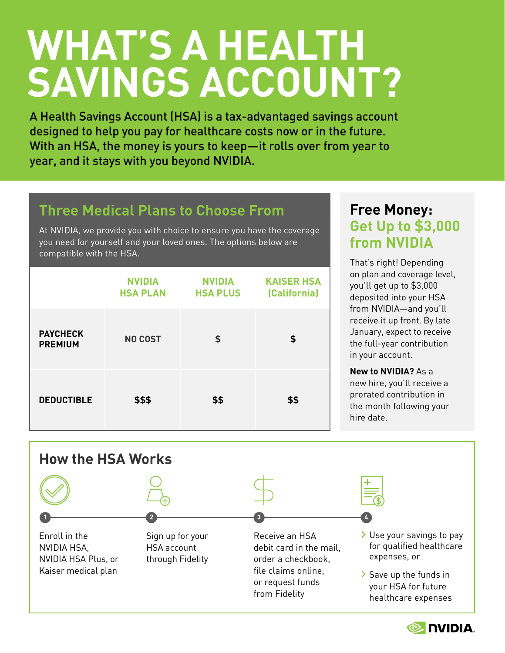# **WHAT'S A HEALTH SAVINGS ACCOUNT?**

A Health Savings Account (HSA) is a tax-advantaged savings account designed to help you pay for healthcare costs now or in the future. With an HSA, the money is yours to keep—it rolls over from year to year, and it stays with you beyond NVIDIA.

## **Three Medical Plans to Choose From**

At NVIDIA, we provide you with choice to ensure you have the coverage you need for yourself and your loved ones. The options below are compatible with the HSA.

|                                   | <b>NVIDIA</b><br><b>HSA PLAN</b> | <b>NVIDIA</b><br><b>HSA PLUS</b> | <b>KAISER HSA</b><br>(California) |
|-----------------------------------|----------------------------------|----------------------------------|-----------------------------------|
| <b>PAYCHECK</b><br><b>PREMIUM</b> | <b>NO COST</b>                   | \$                               | \$                                |
| <b>DEDUCTIBLE</b>                 | \$\$\$                           | \$\$                             | \$\$                              |

## **Free Money: Get Up to \$3,000 from NVIDIA**

That's right! Depending on plan and coverage level, you'll get up to \$3,000 deposited into your HSA from NVIDIA—and you'll receive it up front. By late January, expect to receive the full-year contribution in your account.

**New to NVIDIA?** As a new hire, you'll receive a prorated contribution in the month following your hire date.